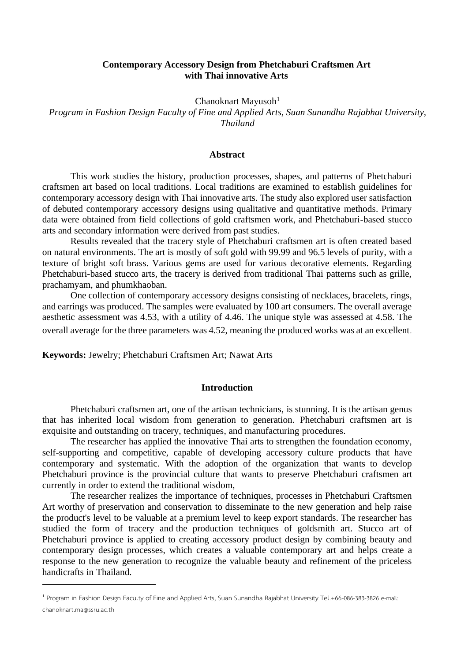#### **Contemporary Accessory Design from Phetchaburi Craftsmen Art with Thai innovative Arts**

Chanoknart Mayusoh $1$ 

*Program in Fashion Design Faculty of Fine and Applied Arts, Suan Sunandha Rajabhat University, Thailand*

#### **Abstract**

This work studies the history, production processes, shapes, and patterns of Phetchaburi craftsmen art based on local traditions. Local traditions are examined to establish guidelines for contemporary accessory design with Thai innovative arts. The study also explored user satisfaction of debuted contemporary accessory designs using qualitative and quantitative methods. Primary data were obtained from field collections of gold craftsmen work, and Phetchaburi-based stucco arts and secondary information were derived from past studies.

Results revealed that the tracery style of Phetchaburi craftsmen art is often created based on natural environments. The art is mostly of soft gold with 99.99 and 96.5 levels of purity, with a texture of bright soft brass. Various gems are used for various decorative elements. Regarding Phetchaburi-based stucco arts, the tracery is derived from traditional Thai patterns such as grille, prachamyam, and phumkhaoban.

One collection of contemporary accessory designs consisting of necklaces, bracelets, rings, and earrings was produced. The samples were evaluated by 100 art consumers. The overall average aesthetic assessment was 4.53, with a utility of 4.46. The unique style was assessed at 4.58. The overall average for the three parameters was 4.52, meaning the produced works was at an excellent.

**Keywords:** Jewelry; Phetchaburi Craftsmen Art; Nawat Arts

#### **Introduction**

Phetchaburi craftsmen art, one of the artisan technicians, is stunning. It is the artisan genus that has inherited local wisdom from generation to generation. Phetchaburi craftsmen art is exquisite and outstanding on tracery, techniques, and manufacturing procedures.

The researcher has applied the innovative Thai arts to strengthen the foundation economy, self-supporting and competitive, capable of developing accessory culture products that have contemporary and systematic. With the adoption of the organization that wants to develop Phetchaburi province is the provincial culture that wants to preserve Phetchaburi craftsmen art currently in order to extend the traditional wisdom,

The researcher realizes the importance of techniques, processes in Phetchaburi Craftsmen Art worthy of preservation and conservation to disseminate to the new generation and help raise the product's level to be valuable at a premium level to keep export standards. The researcher has studied the form of tracery and the production techniques of goldsmith art. Stucco art of Phetchaburi province is applied to creating accessory product design by combining beauty and contemporary design processes, which creates a valuable contemporary art and helps create a response to the new generation to recognize the valuable beauty and refinement of the priceless handicrafts in Thailand.

**<sup>1</sup>** Program in Fashion Design Faculty of Fine and Applied Arts, Suan Sunandha Rajabhat University Tel.+66-086-383-3826 e-mail: chanoknart.ma@ssru.ac.th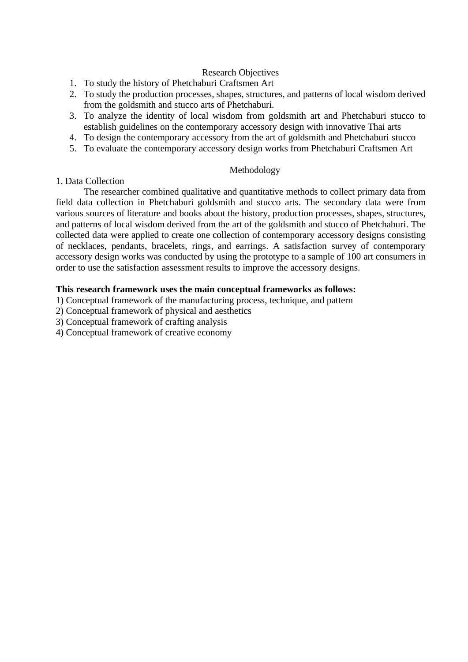## Research Objectives

- 1. To study the history of Phetchaburi Craftsmen Art
- 2. To study the production processes, shapes, structures, and patterns of local wisdom derived from the goldsmith and stucco arts of Phetchaburi.
- 3. To analyze the identity of local wisdom from goldsmith art and Phetchaburi stucco to establish guidelines on the contemporary accessory design with innovative Thai arts
- 4. To design the contemporary accessory from the art of goldsmith and Phetchaburi stucco
- 5. To evaluate the contemporary accessory design works from Phetchaburi Craftsmen Art

#### Methodology

#### 1. Data Collection

The researcher combined qualitative and quantitative methods to collect primary data from field data collection in Phetchaburi goldsmith and stucco arts. The secondary data were from various sources of literature and books about the history, production processes, shapes, structures, and patterns of local wisdom derived from the art of the goldsmith and stucco of Phetchaburi. The collected data were applied to create one collection of contemporary accessory designs consisting of necklaces, pendants, bracelets, rings, and earrings. A satisfaction survey of contemporary accessory design works was conducted by using the prototype to a sample of 100 art consumers in order to use the satisfaction assessment results to improve the accessory designs.

## **This research framework uses the main conceptual frameworks as follows:**

- 1) Conceptual framework of the manufacturing process, technique, and pattern
- 2) Conceptual framework of physical and aesthetics
- 3) Conceptual framework of crafting analysis
- 4) Conceptual framework of creative economy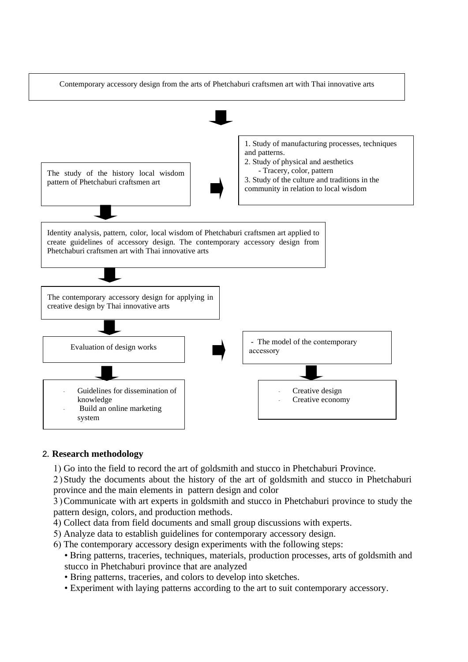

#### **2. Research methodology**

1) Go into the field to record the art of goldsmith and stucco in Phetchaburi Province.

2 )Study the documents about the history of the art of goldsmith and stucco in Phetchaburi province and the main elements in pattern design and color

3 )Communicate with art experts in goldsmith and stucco in Phetchaburi province to study the pattern design, colors, and production methods.

- 4) Collect data from field documents and small group discussions with experts.
- 5) Analyze data to establish guidelines for contemporary accessory design.
- 6) The contemporary accessory design experiments with the following steps:
	- Bring patterns, traceries, techniques, materials, production processes, arts of goldsmith and stucco in Phetchaburi province that are analyzed
	- Bring patterns, traceries, and colors to develop into sketches.
	- Experiment with laying patterns according to the art to suit contemporary accessory.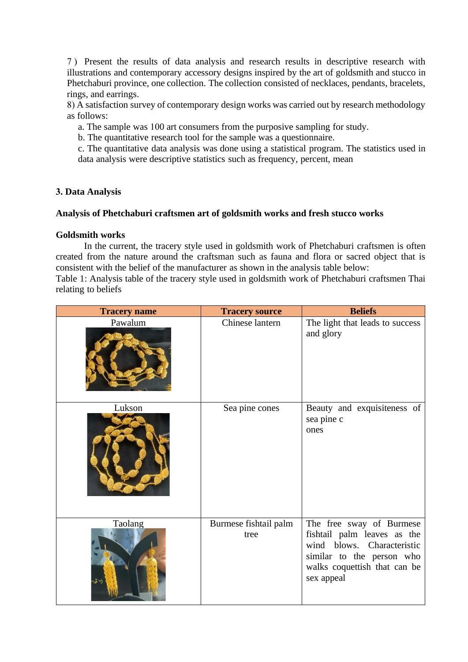7) Present the results of data analysis and research results in descriptive research with illustrations and contemporary accessory designs inspired by the art of goldsmith and stucco in Phetchaburi province, one collection. The collection consisted of necklaces, pendants, bracelets, rings, and earrings.

8) A satisfaction survey of contemporary design works was carried out by research methodology as follows:

a. The sample was 100 art consumers from the purposive sampling for study.

b. The quantitative research tool for the sample was a questionnaire.

c. The quantitative data analysis was done using a statistical program. The statistics used in data analysis were descriptive statistics such as frequency, percent, mean

## **3. Data Analysis**

## **Analysis of Phetchaburi craftsmen art of goldsmith works and fresh stucco works**

#### **Goldsmith works**

In the current, the tracery style used in goldsmith work of Phetchaburi craftsmen is often created from the nature around the craftsman such as fauna and flora or sacred object that is consistent with the belief of the manufacturer as shown in the analysis table below:

Table 1: Analysis table of the tracery style used in goldsmith work of Phetchaburi craftsmen Thai relating to beliefs

| <b>Tracery name</b> | <b>Tracery source</b>         | <b>Beliefs</b>                                                                                                                                                   |
|---------------------|-------------------------------|------------------------------------------------------------------------------------------------------------------------------------------------------------------|
| Pawalum             | Chinese lantern               | The light that leads to success<br>and glory                                                                                                                     |
| Lukson              | Sea pine cones                | Beauty and exquisiteness of<br>sea pine c<br>ones                                                                                                                |
| Taolang<br>กรัท     | Burmese fishtail palm<br>tree | The free sway of Burmese<br>fishtail palm leaves as the<br>wind blows. Characteristic<br>similar to the person who<br>walks coquettish that can be<br>sex appeal |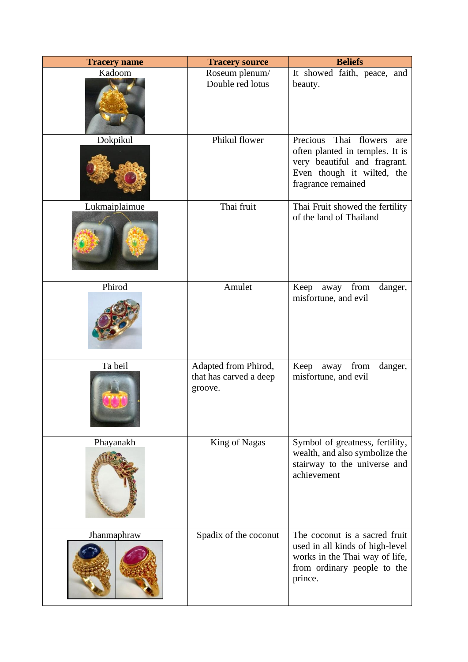| <b>Tracery name</b> | <b>Tracery source</b>                                     | <b>Beliefs</b>                                                                                                                                         |
|---------------------|-----------------------------------------------------------|--------------------------------------------------------------------------------------------------------------------------------------------------------|
| Kadoom              | Roseum plenum/<br>Double red lotus                        | It showed faith, peace, and<br>beauty.                                                                                                                 |
| Dokpikul            | Phikul flower                                             | Precious<br>Thai flowers<br>are<br>often planted in temples. It is<br>very beautiful and fragrant.<br>Even though it wilted, the<br>fragrance remained |
| Lukmaiplaimue       | Thai fruit                                                | Thai Fruit showed the fertility<br>of the land of Thailand                                                                                             |
| Phirod              | Amulet                                                    | Keep away<br>from<br>danger,<br>misfortune, and evil                                                                                                   |
| Ta beil             | Adapted from Phirod,<br>that has carved a deep<br>groove. | Keep<br>away<br>from<br>danger,<br>misfortune, and evil                                                                                                |
| Phayanakh           | King of Nagas                                             | Symbol of greatness, fertility,<br>wealth, and also symbolize the<br>stairway to the universe and<br>achievement                                       |
| Jhanmaphraw         | Spadix of the coconut                                     | The coconut is a sacred fruit<br>used in all kinds of high-level<br>works in the Thai way of life,<br>from ordinary people to the<br>prince.           |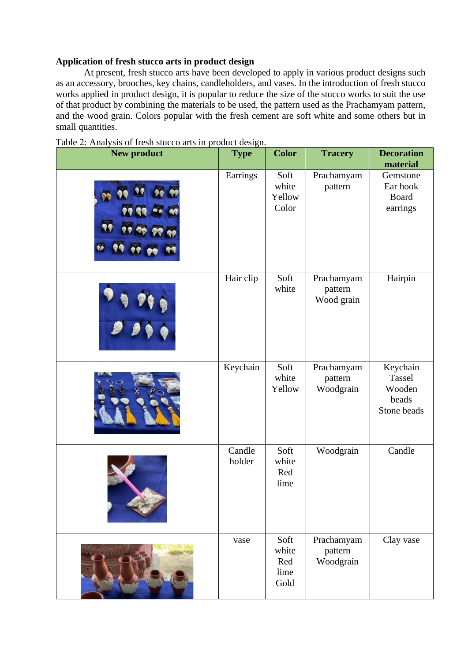## **Application of fresh stucco arts in product design**

At present, fresh stucco arts have been developed to apply in various product designs such as an accessory, brooches, key chains, candleholders, and vases. In the introduction of fresh stucco works applied in product design, it is popular to reduce the size of the stucco works to suit the use of that product by combining the materials to be used, the pattern used as the Prachamyam pattern, and the wood grain. Colors popular with the fresh cement are soft white and some others but in small quantities.

| <b>New product</b> | <b>Type</b>      | <b>Color</b>                         | <b>Tracery</b>                      | <b>Decoration</b><br>material                        |
|--------------------|------------------|--------------------------------------|-------------------------------------|------------------------------------------------------|
| 99<br>90           | Earrings         | Soft<br>white<br>Yellow<br>Color     | Prachamyam<br>pattern               | Gemstone<br>Ear hook<br><b>Board</b><br>earrings     |
|                    | Hair clip        | Soft<br>white                        | Prachamyam<br>pattern<br>Wood grain | Hairpin                                              |
|                    | Keychain         | Soft<br>white<br>Yellow              | Prachamyam<br>pattern<br>Woodgrain  | Keychain<br>Tassel<br>Wooden<br>beads<br>Stone beads |
|                    | Candle<br>holder | Soft<br>white<br>Red<br>lime         | Woodgrain                           | Candle                                               |
|                    | vase             | Soft<br>white<br>Red<br>lime<br>Gold | Prachamyam<br>pattern<br>Woodgrain  | Clay vase                                            |

| Table 2: Analysis of fresh stucco arts in product design. |  |  |  |
|-----------------------------------------------------------|--|--|--|
|                                                           |  |  |  |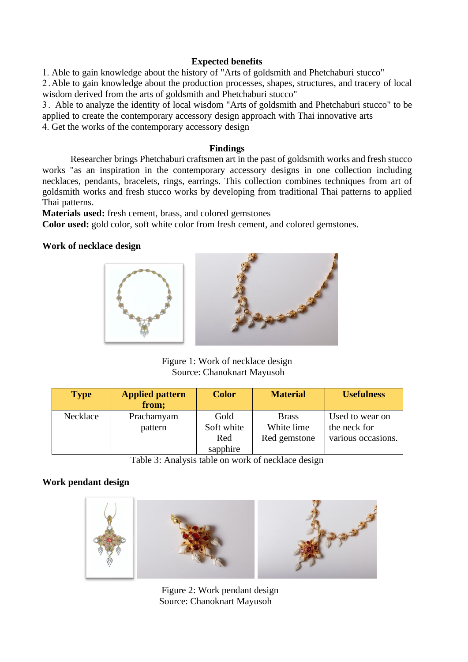## **Expected benefits**

1. Able to gain knowledge about the history of "Arts of goldsmith and Phetchaburi stucco"

2 .Able to gain knowledge about the production processes, shapes, structures, and tracery of local wisdom derived from the arts of goldsmith and Phetchaburi stucco"

3. Able to analyze the identity of local wisdom "Arts of goldsmith and Phetchaburi stucco" to be applied to create the contemporary accessory design approach with Thai innovative arts

4. Get the works of the contemporary accessory design

## **Findings**

Researcher brings Phetchaburi craftsmen art in the past of goldsmith works and fresh stucco works "as an inspiration in the contemporary accessory designs in one collection including necklaces, pendants, bracelets, rings, earrings. This collection combines techniques from art of goldsmith works and fresh stucco works by developing from traditional Thai patterns to applied Thai patterns.

**Materials used:** fresh cement, brass, and colored gemstones

**Color used:** gold color, soft white color from fresh cement, and colored gemstones.

## **Work of necklace design**



Figure 1: Work of necklace design Source: Chanoknart Mayusoh

| <b>Type</b> | <b>Applied pattern</b><br>from; | <b>Color</b>                          | <b>Material</b>                            | <b>Usefulness</b>                                     |
|-------------|---------------------------------|---------------------------------------|--------------------------------------------|-------------------------------------------------------|
| Necklace    | Prachamyam<br>pattern           | Gold<br>Soft white<br>Red<br>sapphire | <b>Brass</b><br>White lime<br>Red gemstone | Used to wear on<br>the neck for<br>various occasions. |

Table 3: Analysis table on work of necklace design

## **Work pendant design**



Figure 2: Work pendant design Source: Chanoknart Mayusoh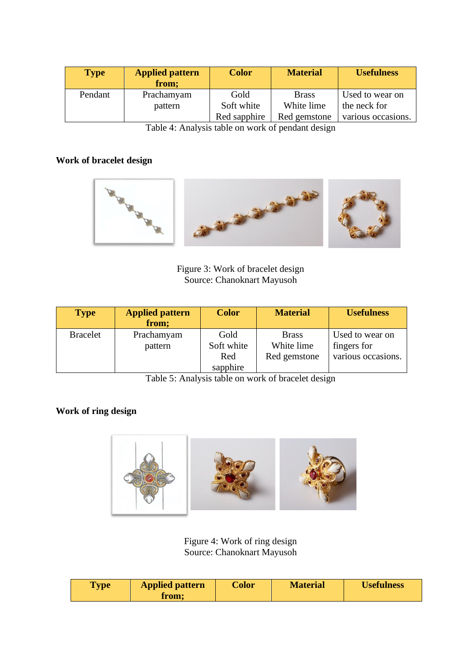| <b>Type</b> | <b>Applied pattern</b><br>from; | <b>Color</b> | <b>Material</b> | <b>Usefulness</b>  |
|-------------|---------------------------------|--------------|-----------------|--------------------|
| Pendant     | Prachamyam                      | Gold         | <b>Brass</b>    | Used to wear on    |
|             | pattern                         | Soft white   | White lime      | the neck for       |
|             |                                 | Red sapphire | Red gemstone    | various occasions. |

Table 4: Analysis table on work of pendant design

# **Work of bracelet design**



Figure 3: Work of bracelet design Source: Chanoknart Mayusoh

| <b>Type</b>     | <b>Applied pattern</b><br>from; | <b>Color</b>                          | <b>Material</b>                            | <b>Usefulness</b>                                    |
|-----------------|---------------------------------|---------------------------------------|--------------------------------------------|------------------------------------------------------|
| <b>Bracelet</b> | Prachamyam<br>pattern           | Gold<br>Soft white<br>Red<br>sapphire | <b>Brass</b><br>White lime<br>Red gemstone | Used to wear on<br>fingers for<br>various occasions. |

Table 5: Analysis table on work of bracelet design

# **Work of ring design**



Figure 4: Work of ring design Source: Chanoknart Mayusoh

| Type | <b>Applied pattern</b><br>from; | <b>Color</b> | <b>Material</b> | <b>Usefulness</b> |
|------|---------------------------------|--------------|-----------------|-------------------|
|------|---------------------------------|--------------|-----------------|-------------------|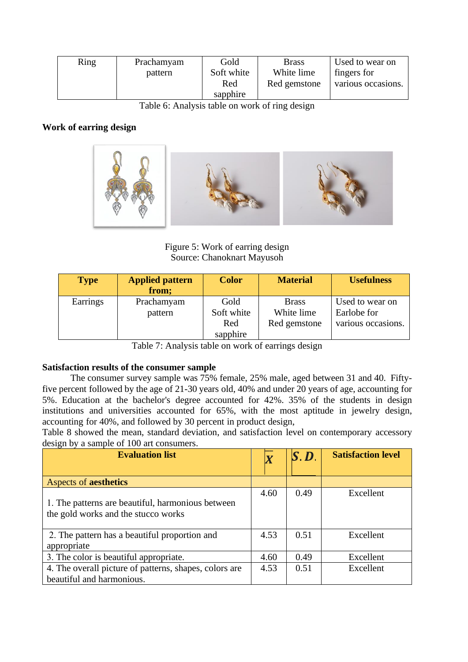| Ring | Prachamyam | Gold       | <b>Brass</b> | Used to wear on    |
|------|------------|------------|--------------|--------------------|
|      | pattern    | Soft white | White lime   | fingers for        |
|      |            | Red        | Red gemstone | various occasions. |
|      |            | sapphire   |              |                    |

Table 6: Analysis table on work of ring design

## **Work of earring design**



Figure 5: Work of earring design Source: Chanoknart Mayusoh

| <b>Type</b> | <b>Applied pattern</b><br>from; | <b>Color</b>                          | <b>Material</b>                            | <b>Usefulness</b>                                    |
|-------------|---------------------------------|---------------------------------------|--------------------------------------------|------------------------------------------------------|
| Earrings    | Prachamyam<br>pattern           | Gold<br>Soft white<br>Red<br>sapphire | <b>Brass</b><br>White lime<br>Red gemstone | Used to wear on<br>Earlobe for<br>various occasions. |

Table 7: Analysis table on work of earrings design

#### **Satisfaction results of the consumer sample**

The consumer survey sample was 75% female, 25% male, aged between 31 and 40. Fiftyfive percent followed by the age of 21-30 years old, 40% and under 20 years of age, accounting for 5%. Education at the bachelor's degree accounted for 42%. 35% of the students in design institutions and universities accounted for 65%, with the most aptitude in jewelry design, accounting for 40%, and followed by 30 percent in product design,

Table 8 showed the mean, standard deviation, and satisfaction level on contemporary accessory design by a sample of 100 art consumers.

| <b>Evaluation list</b>                                                                   |      | $\bm{S}$ . $\bm{D}$ | <b>Satisfaction level</b> |
|------------------------------------------------------------------------------------------|------|---------------------|---------------------------|
| <b>Aspects of aesthetics</b>                                                             |      |                     |                           |
| 1. The patterns are beautiful, harmonious between<br>the gold works and the stucco works | 4.60 | 0.49                | Excellent                 |
| 2. The pattern has a beautiful proportion and<br>appropriate                             | 4.53 | 0.51                | Excellent                 |
| 3. The color is beautiful appropriate.                                                   | 4.60 | 0.49                | Excellent                 |
| 4. The overall picture of patterns, shapes, colors are<br>beautiful and harmonious.      | 4.53 | 0.51                | Excellent                 |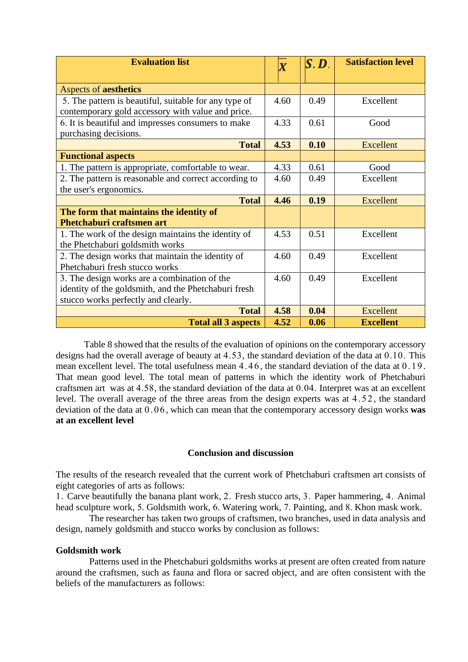| <b>Evaluation list</b>                                                                                  | $\overline{\bm{X}}$ | $\bm{S}, \bm{D}_1$ | <b>Satisfaction level</b> |
|---------------------------------------------------------------------------------------------------------|---------------------|--------------------|---------------------------|
| <b>Aspects of aesthetics</b>                                                                            |                     |                    |                           |
|                                                                                                         | 4.60                | 0.49               | Excellent                 |
| 5. The pattern is beautiful, suitable for any type of                                                   |                     |                    |                           |
| contemporary gold accessory with value and price.<br>6. It is beautiful and impresses consumers to make | 4.33                | 0.61               | Good                      |
| purchasing decisions.                                                                                   |                     |                    |                           |
| <b>Total</b>                                                                                            | 4.53                | 0.10               | <b>Excellent</b>          |
| <b>Functional aspects</b>                                                                               |                     |                    |                           |
| 1. The pattern is appropriate, comfortable to wear.                                                     | 4.33                | 0.61               | Good                      |
| 2. The pattern is reasonable and correct according to                                                   | 4.60                | 0.49               | Excellent                 |
| the user's ergonomics.                                                                                  |                     |                    |                           |
| <b>Total</b>                                                                                            | 4.46                | 0.19               | <b>Excellent</b>          |
| The form that maintains the identity of                                                                 |                     |                    |                           |
| <b>Phetchaburi craftsmen art</b>                                                                        |                     |                    |                           |
| 1. The work of the design maintains the identity of                                                     | 4.53                | 0.51               | Excellent                 |
| the Phetchaburi goldsmith works                                                                         |                     |                    |                           |
| 2. The design works that maintain the identity of                                                       | 4.60                | 0.49               | Excellent                 |
| Phetchaburi fresh stucco works                                                                          |                     |                    |                           |
| 3. The design works are a combination of the                                                            | 4.60                | 0.49               | Excellent                 |
| identity of the goldsmith, and the Phetchaburi fresh                                                    |                     |                    |                           |
| stucco works perfectly and clearly.                                                                     |                     |                    |                           |
| <b>Total</b>                                                                                            | 4.58                | 0.04               | <b>Excellent</b>          |
| <b>Total all 3 aspects</b>                                                                              | 4.52                | 0.06               | <b>Excellent</b>          |

Table 8 showed that the results of the evaluation of opinions on the contemporary accessory designs had the overall average of beauty at 4.53, the standard deviation of the data at 0.10. This mean excellent level. The total usefulness mean 4.46 , the standard deviation of the data at 0.19. That mean good level. The total mean of patterns in which the identity work of Phetchaburi craftsmen art was at 4.58, the standard deviation of the data at 0.04. Interpret was at an excellent level. The overall average of the three areas from the design experts was at 4.52, the standard deviation of the data at 0.06 , which can mean that the contemporary accessory design works **was at an excellent level**

#### **Conclusion and discussion**

The results of the research revealed that the current work of Phetchaburi craftsmen art consists of eight categories of arts as follows:

1. Carve beautifully the banana plant work, 2. Fresh stucco arts, 3. Paper hammering, 4. Animal head sculpture work, 5. Goldsmith work, 6. Watering work, 7. Painting, and 8. Khon mask work.

The researcher has taken two groups of craftsmen, two branches, used in data analysis and design, namely goldsmith and stucco works by conclusion as follows:

#### **Goldsmith work**

Patterns used in the Phetchaburi goldsmiths works at present are often created from nature around the craftsmen, such as fauna and flora or sacred object, and are often consistent with the beliefs of the manufacturers as follows: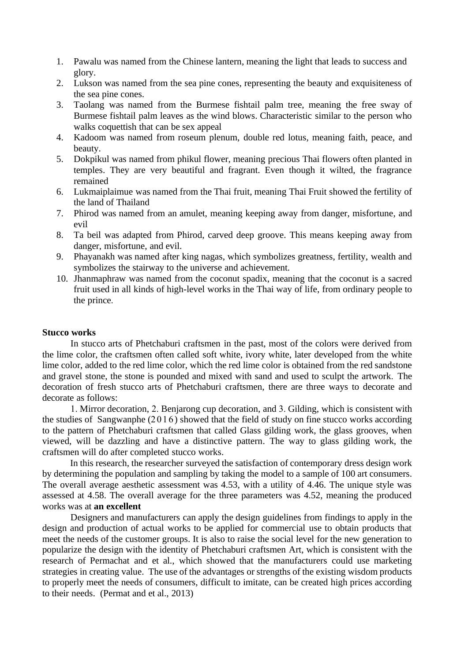- 1. Pawalu was named from the Chinese lantern, meaning the light that leads to success and glory.
- 2. Lukson was named from the sea pine cones, representing the beauty and exquisiteness of the sea pine cones.
- 3. Taolang was named from the Burmese fishtail palm tree, meaning the free sway of Burmese fishtail palm leaves as the wind blows. Characteristic similar to the person who walks coquettish that can be sex appeal
- 4. Kadoom was named from roseum plenum, double red lotus, meaning faith, peace, and beauty.
- 5. Dokpikul was named from phikul flower, meaning precious Thai flowers often planted in temples. They are very beautiful and fragrant. Even though it wilted, the fragrance remained
- 6. Lukmaiplaimue was named from the Thai fruit, meaning Thai Fruit showed the fertility of the land of Thailand
- 7. Phirod was named from an amulet, meaning keeping away from danger, misfortune, and evil
- 8. Ta beil was adapted from Phirod, carved deep groove. This means keeping away from danger, misfortune, and evil.
- 9. Phayanakh was named after king nagas, which symbolizes greatness, fertility, wealth and symbolizes the stairway to the universe and achievement.
- 10. Jhanmaphraw was named from the coconut spadix, meaning that the coconut is a sacred fruit used in all kinds of high-level works in the Thai way of life, from ordinary people to the prince.

#### **Stucco works**

In stucco arts of Phetchaburi craftsmen in the past, most of the colors were derived from the lime color, the craftsmen often called soft white, ivory white, later developed from the white lime color, added to the red lime color, which the red lime color is obtained from the red sandstone and gravel stone, the stone is pounded and mixed with sand and used to sculpt the artwork. The decoration of fresh stucco arts of Phetchaburi craftsmen, there are three ways to decorate and decorate as follows:

1. Mirror decoration, 2. Benjarong cup decoration, and 3. Gilding, which is consistent with the studies of Sangwanphe  $(2016)$  showed that the field of study on fine stucco works according to the pattern of Phetchaburi craftsmen that called Glass gilding work, the glass grooves, when viewed, will be dazzling and have a distinctive pattern. The way to glass gilding work, the craftsmen will do after completed stucco works.

In this research, the researcher surveyed the satisfaction of contemporary dress design work by determining the population and sampling by taking the model to a sample of 100 art consumers. The overall average aesthetic assessment was 4.53, with a utility of 4.46. The unique style was assessed at 4.58. The overall average for the three parameters was 4.52, meaning the produced works was at **an excellent**

Designers and manufacturers can apply the design guidelines from findings to apply in the design and production of actual works to be applied for commercial use to obtain products that meet the needs of the customer groups. It is also to raise the social level for the new generation to popularize the design with the identity of Phetchaburi craftsmen Art, which is consistent with the research of Permachat and et al., which showed that the manufacturers could use marketing strategies in creating value. The use of the advantages or strengths of the existing wisdom products to properly meet the needs of consumers, difficult to imitate, can be created high prices according to their needs. (Permat and et al., 2013)